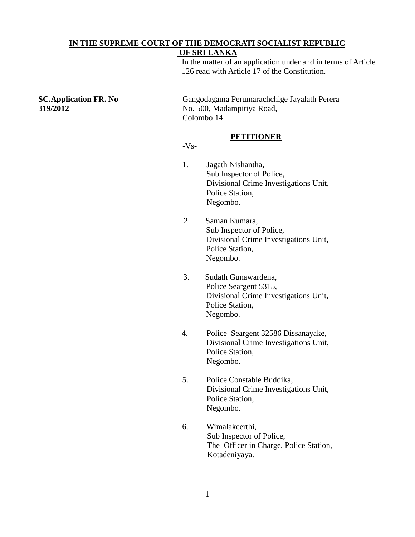## **IN THE SUPREME COURT OF THE DEMOCRATI SOCIALIST REPUBLIC**

## **OF SRI LANKA**

In the matter of an application under and in terms of Article 126 read with Article 17 of the Constitution.

**SC.Application FR. No** Gangodagama Perumarachchige Jayalath Perera **319/2012** No. 500, Madampitiya Road, Colombo 14.

### **PETITIONER**

### $-Vs-$

- 1. Jagath Nishantha, Sub Inspector of Police, Divisional Crime Investigations Unit, Police Station, Negombo.
- 2. Saman Kumara, Sub Inspector of Police, Divisional Crime Investigations Unit, Police Station, Negombo.
- 3. Sudath Gunawardena, Police Seargent 5315, Divisional Crime Investigations Unit, Police Station, Negombo.
- 4. Police Seargent 32586 Dissanayake, Divisional Crime Investigations Unit, Police Station, Negombo.
- 5. Police Constable Buddika, Divisional Crime Investigations Unit, Police Station, Negombo.
- 6. Wimalakeerthi, Sub Inspector of Police, The Officer in Charge, Police Station, Kotadeniyaya.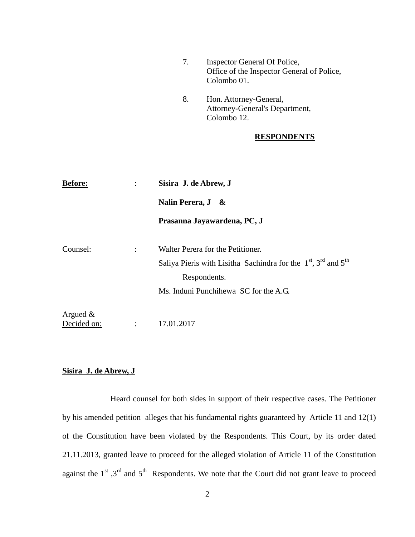|                            | 7.                                | Inspector General Of Police,<br>Office of the Inspector General of Police,<br>Colombo 01. |
|----------------------------|-----------------------------------|-------------------------------------------------------------------------------------------|
|                            | 8.                                | Hon. Attorney-General,<br>Attorney-General's Department,<br>Colombo 12.                   |
|                            |                                   | <b>RESPONDENTS</b>                                                                        |
|                            |                                   |                                                                                           |
| <b>Before:</b>             | Sisira J. de Abrew, J             |                                                                                           |
|                            | Nalin Perera, J                   | &                                                                                         |
|                            |                                   | Prasanna Jayawardena, PC, J                                                               |
| Counsel:                   | Walter Perera for the Petitioner. |                                                                                           |
|                            |                                   | Saliya Pieris with Lisitha Sachindra for the $1st$ , $3rd$ and $5th$                      |
|                            |                                   | Respondents.                                                                              |
|                            |                                   | Ms. Induni Punchihewa SC for the A.G.                                                     |
| Argued $\&$<br>Decided on: | 17.01.2017                        |                                                                                           |

# **Sisira J. de Abrew, J**

Heard counsel for both sides in support of their respective cases. The Petitioner by his amended petition alleges that his fundamental rights guaranteed by Article 11 and 12(1) of the Constitution have been violated by the Respondents. This Court, by its order dated 21.11.2013, granted leave to proceed for the alleged violation of Article 11 of the Constitution against the  $1<sup>st</sup>$ ,  $3<sup>rd</sup>$  and  $5<sup>th</sup>$  Respondents. We note that the Court did not grant leave to proceed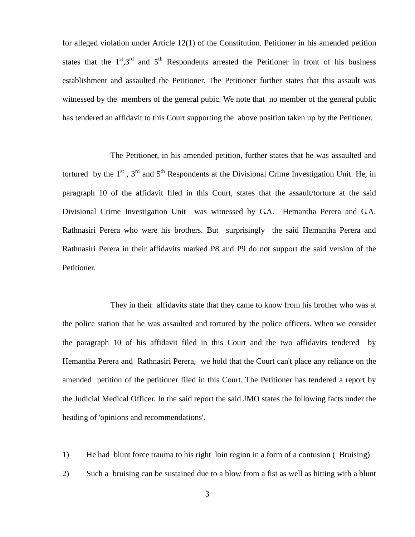for alleged violation under Article 12(1) of the Constitution. Petitioner in his amended petition states that the  $1<sup>st</sup>$ ,  $3<sup>rd</sup>$  and  $5<sup>th</sup>$  Respondents arrested the Petitioner in front of his business establishment and assaulted the Petitioner. The Petitioner further states that this assault was witnessed by the members of the general pubic. We note that no member of the general public has tendered an affidavit to this Court supporting the above position taken up by the Petitioner.

The Petitioner, in his amended petition, further states that he was assaulted and tortured by the  $1<sup>st</sup>$ ,  $3<sup>rd</sup>$  and  $5<sup>th</sup>$  Respondents at the Divisional Crime Investigation Unit. He, in paragraph 10 of the affidavit filed in this Court, states that the assault/torture at the said Divisional Crime Investigation Unit was witnessed by G.A. Hemantha Perera and G.A. Rathnasiri Perera who were his brothers. But surprisingly the said Hemantha Perera and Rathnasiri Perera in their affidavits marked P8 and P9 do not support the said version of the Petitioner.

They in their affidavits state that they came to know from his brother who was at the police station that he was assaulted and tortured by the police officers. When we consider the paragraph 10 of his affidavit filed in this Court and the two affidavits tendered by Hemantha Perera and Rathnasiri Perera, we hold that the Court can't place any reliance on the amended petition of the petitioner filed in this Court. The Petitioner has tendered a report by the Judicial Medical Officer. In the said report the said JMO states the following facts under the heading of 'opinions and recommendations'.

1) He had blunt force trauma to his right loin region in a form of a contusion ( Bruising)

2) Such a bruising can be sustained due to a blow from a fist as well as hitting with a blunt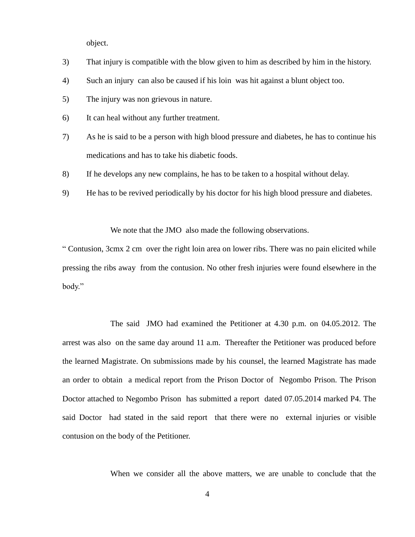object.

- 3) That injury is compatible with the blow given to him as described by him in the history.
- 4) Such an injury can also be caused if his loin was hit against a blunt object too.
- 5) The injury was non grievous in nature.
- 6) It can heal without any further treatment.
- 7) As he is said to be a person with high blood pressure and diabetes, he has to continue his medications and has to take his diabetic foods.
- 8) If he develops any new complains, he has to be taken to a hospital without delay.
- 9) He has to be revived periodically by his doctor for his high blood pressure and diabetes.

We note that the JMO also made the following observations.

" Contusion, 3cmx 2 cm over the right loin area on lower ribs. There was no pain elicited while pressing the ribs away from the contusion. No other fresh injuries were found elsewhere in the body."

The said JMO had examined the Petitioner at 4.30 p.m. on 04.05.2012. The arrest was also on the same day around 11 a.m. Thereafter the Petitioner was produced before the learned Magistrate. On submissions made by his counsel, the learned Magistrate has made an order to obtain a medical report from the Prison Doctor of Negombo Prison. The Prison Doctor attached to Negombo Prison has submitted a report dated 07.05.2014 marked P4. The said Doctor had stated in the said report that there were no external injuries or visible contusion on the body of the Petitioner.

When we consider all the above matters, we are unable to conclude that the